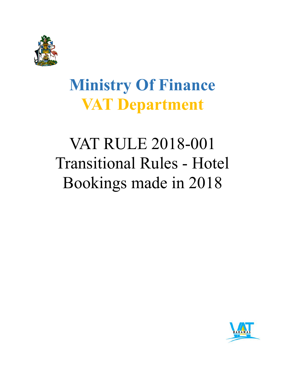

## **Ministry Of Finance VAT Department**

# VAT RULE 2018-001 Transitional Rules - Hotel Bookings made in 2018

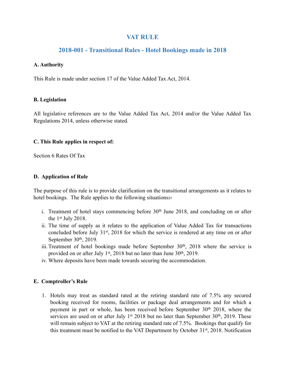## **VAT RULE**

## **2018-001 - Transitional Rules - Hotel Bookings made in 2018**

#### **A. Authority**

This Rule is made under section 17 of the Value Added Tax Act, 2014.

#### **B. Legislation**

All legislative references are to the Value Added Tax Act, 2014 and/or the Value Added Tax Regulations 2014, unless otherwise stated.

#### **C. This Rule applies in respect of:**

Section 6 Rates Of Tax

#### **D. Application of Rule**

The purpose of this rule is to provide clarification on the transitional arrangements as it relates to hotel bookings. The Rule applies to the following situations**:-** 

- i. Treatment of hotel stays commencing before 30<sup>th</sup> June 2018, and concluding on or after the  $1<sup>st</sup>$  July 2018.
- ii. The time of supply as it relates to the application of Value Added Tax for transactions concluded before July 31<sup>st</sup>, 2018 for which the service is rendered at any time on or after September 30<sup>th</sup>, 2019.
- iii. Treatment of hotel bookings made before September 30<sup>th</sup>, 2018 where the service is provided on or after July 1st, 2018 but no later than June  $30<sup>th</sup>$ , 2019.
- iv. Where deposits have been made towards securing the accommodation.

#### **E. Comptroller's Rule**

1. Hotels may treat as standard rated at the retiring standard rate of 7.5% any secured booking received for rooms, facilities or package deal arrangements and for which a payment in part or whole, has been received before September 30<sup>th</sup> 2018, where the services are used on or after July  $1<sup>st</sup> 2018$  but no later than September 30<sup>th</sup>, 2019. These will remain subject to VAT at the retiring standard rate of 7.5%. Bookings that qualify for this treatment must be notified to the VAT Department by October 31<sup>st</sup>, 2018. Notification